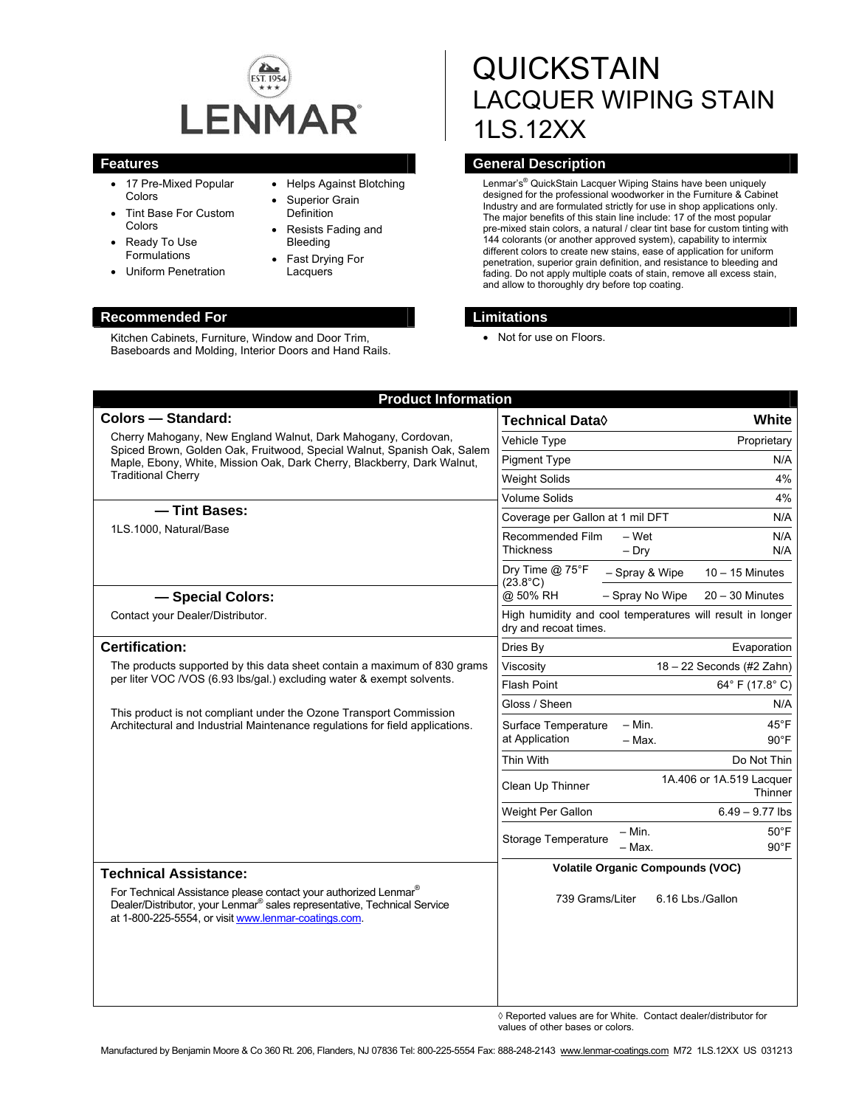

• Helps Against Blotching Superior Grain Definition

Resists Fading and

Bleeding Fast Drying For Lacquers

- 17 Pre-Mixed Popular Colors
- Tint Base For Custom Colors
- Ready To Use Formulations
- Uniform Penetration

#### **Recommended For Limitations**

Kitchen Cabinets, Furniture, Window and Door Trim, Baseboards and Molding, Interior Doors and Hand Rails.

# **QUICKSTAIN** LACQUER WIPING STAIN 1LS.12XX

# **Features General Description**

Lenmar's<sup>®</sup> QuickStain Lacquer Wiping Stains have been uniquely designed for the professional woodworker in the Furniture & Cabinet Industry and are formulated strictly for use in shop applications only. The major benefits of this stain line include: 17 of the most popular pre-mixed stain colors, a natural / clear tint base for custom tinting with 144 colorants (or another approved system), capability to intermix different colors to create new stains, ease of application for uniform penetration, superior grain definition, and resistance to bleeding and fading. Do not apply multiple coats of stain, remove all excess stain, and allow to thoroughly dry before top coating.

• Not for use on Floors.

| <b>Product Information</b>                                                                                                                                                                                                                                                                  |                                                                                                   |
|---------------------------------------------------------------------------------------------------------------------------------------------------------------------------------------------------------------------------------------------------------------------------------------------|---------------------------------------------------------------------------------------------------|
| <b>Colors - Standard:</b>                                                                                                                                                                                                                                                                   | Technical Data $\Diamond$<br>White                                                                |
| Cherry Mahogany, New England Walnut, Dark Mahogany, Cordovan,<br>Spiced Brown, Golden Oak, Fruitwood, Special Walnut, Spanish Oak, Salem<br>Maple, Ebony, White, Mission Oak, Dark Cherry, Blackberry, Dark Walnut,<br><b>Traditional Cherry</b><br>- Tint Bases:<br>1LS.1000, Natural/Base | Vehicle Type<br>Proprietary                                                                       |
|                                                                                                                                                                                                                                                                                             | <b>Pigment Type</b><br>N/A                                                                        |
|                                                                                                                                                                                                                                                                                             | 4%<br><b>Weight Solids</b>                                                                        |
|                                                                                                                                                                                                                                                                                             | <b>Volume Solids</b><br>4%                                                                        |
|                                                                                                                                                                                                                                                                                             | Coverage per Gallon at 1 mil DFT<br>N/A                                                           |
|                                                                                                                                                                                                                                                                                             | Recommended Film<br>$-$ Wet<br>N/A<br><b>Thickness</b><br>$-$ Drv<br>N/A                          |
|                                                                                                                                                                                                                                                                                             | Dry Time @ 75°F<br>- Spray & Wipe<br>$10 - 15$ Minutes                                            |
| - Special Colors:                                                                                                                                                                                                                                                                           | $(23.8^{\circ}C)$<br>@ 50% RH<br>- Spray No Wipe<br>$20 - 30$ Minutes                             |
| Contact your Dealer/Distributor.                                                                                                                                                                                                                                                            | High humidity and cool temperatures will result in longer<br>dry and recoat times.                |
| <b>Certification:</b>                                                                                                                                                                                                                                                                       | Dries By<br>Evaporation                                                                           |
| The products supported by this data sheet contain a maximum of 830 grams<br>per liter VOC /VOS (6.93 lbs/gal.) excluding water & exempt solvents.                                                                                                                                           | 18 - 22 Seconds (#2 Zahn)<br>Viscosity                                                            |
|                                                                                                                                                                                                                                                                                             | <b>Flash Point</b><br>64° F (17.8° C)                                                             |
| This product is not compliant under the Ozone Transport Commission<br>Architectural and Industrial Maintenance regulations for field applications.                                                                                                                                          | Gloss / Sheen<br>N/A                                                                              |
|                                                                                                                                                                                                                                                                                             | $- Min.$<br>$45^{\circ}$ F<br>Surface Temperature<br>at Application<br>$-$ Max.<br>$90^{\circ}$ F |
|                                                                                                                                                                                                                                                                                             | Thin With<br>Do Not Thin                                                                          |
|                                                                                                                                                                                                                                                                                             | 1A.406 or 1A.519 Lacquer<br>Clean Up Thinner<br>Thinner                                           |
|                                                                                                                                                                                                                                                                                             | Weight Per Gallon<br>$6.49 - 9.77$ lbs                                                            |
|                                                                                                                                                                                                                                                                                             | – Min.<br>$50^{\circ}$ F<br>Storage Temperature<br>- Max.<br>$90^{\circ}$ F                       |
| <b>Technical Assistance:</b>                                                                                                                                                                                                                                                                | <b>Volatile Organic Compounds (VOC)</b>                                                           |
| For Technical Assistance please contact your authorized Lenmar®<br>Dealer/Distributor, your Lenmar <sup>®</sup> sales representative, Technical Service<br>at 1-800-225-5554, or visit www.lenmar-coatings.com.                                                                             | 739 Grams/Liter<br>6.16 Lbs./Gallon                                                               |
|                                                                                                                                                                                                                                                                                             |                                                                                                   |
|                                                                                                                                                                                                                                                                                             |                                                                                                   |

◊ Reported values are for White. Contact dealer/distributor for values of other bases or colors.